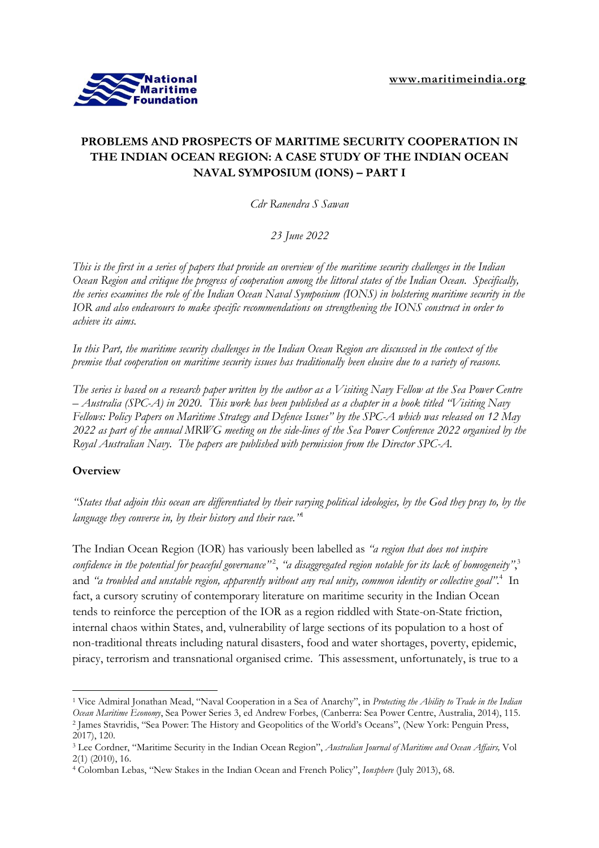

# **PROBLEMS AND PROSPECTS OF MARITIME SECURITY COOPERATION IN THE INDIAN OCEAN REGION: A CASE STUDY OF THE INDIAN OCEAN NAVAL SYMPOSIUM (IONS) – PART I**

*Cdr Ranendra S Sawan*

*23 June 2022*

This is the first in a series of papers that provide an overview of the maritime security challenges in the Indian Ocean Region and critique the progress of cooperation among the littoral states of the Indian Ocean. Specifically, the series examines the role of the Indian Ocean Naval Symposium (IONS) in bolstering maritime security in the *IOR and also endeavours to make specific recommendations on strengthening the IONS construct in order to achieve its aims.*

In this Part, the maritime security challenges in the Indian Ocean Region are discussed in the context of the premise that cooperation on maritime security issues has traditionally been elusive due to a variety of reasons.

The series is based on a research paper written by the author as a Visiting Navy Fellow at the Sea Power Centre  $-A$ ustralia (SPC-A) in 2020. This work has been published as a chapter in a book titled "Visiting Navy" Fellows: Policy Papers on Maritime Strategy and Defence Issues" by the SPC-A which was released on 12 May 2022 as part of the annual MRWG meeting on the side-lines of the Sea Power Conference 2022 organised by the *Royal Australian Navy. The papers are published with permission from the Director SPC-A.*

## **Overview**

"States that adjoin this ocean are differentiated by their varying political ideologies, by the God they pray to, by the *language they converse in, by their history and their race."* 1

The Indian Ocean Region (IOR) has variously been labelled as *"a region that does not inspire* confidence in the potential for peaceful governance"<sup>2</sup>, "a disaggregated region notable for its lack of homogeneity",<sup>3</sup> and *"a troubled and unstable region, apparently without any real unity, common identity or collective goal"*. 4 In fact, a cursory scrutiny of contemporary literature on maritime security in the Indian Ocean tends to reinforce the perception of the IOR as a region riddled with State-on-State friction, internal chaos within States, and, vulnerability of large sections of its population to a host of non-traditional threats including natural disasters, food and water shortages, poverty, epidemic, piracy, terrorism and transnational organised crime. This assessment, unfortunately, is true to a

<sup>1</sup> Vice Admiral Jonathan Mead, "Naval Cooperation in a Sea of Anarchy", in *Protecting the Ability to Trade in the Indian Ocean Maritime Economy*, Sea Power Series 3, ed Andrew Forbes, (Canberra: Sea Power Centre, Australia, 2014), 115. 2 James Stavridis, "Sea Power: The History and Geopolitics of the World's Oceans", (New York: Penguin Press, 2017), 120.

<sup>3</sup> Lee Cordner, "Maritime Security in the Indian Ocean Region", *Australian Journal of Maritime and Ocean Affairs,* Vol 2(1) (2010), 16.

<sup>4</sup> Colomban Lebas, "New Stakes in the Indian Ocean and French Policy", *Ionsphere* (July 2013), 68.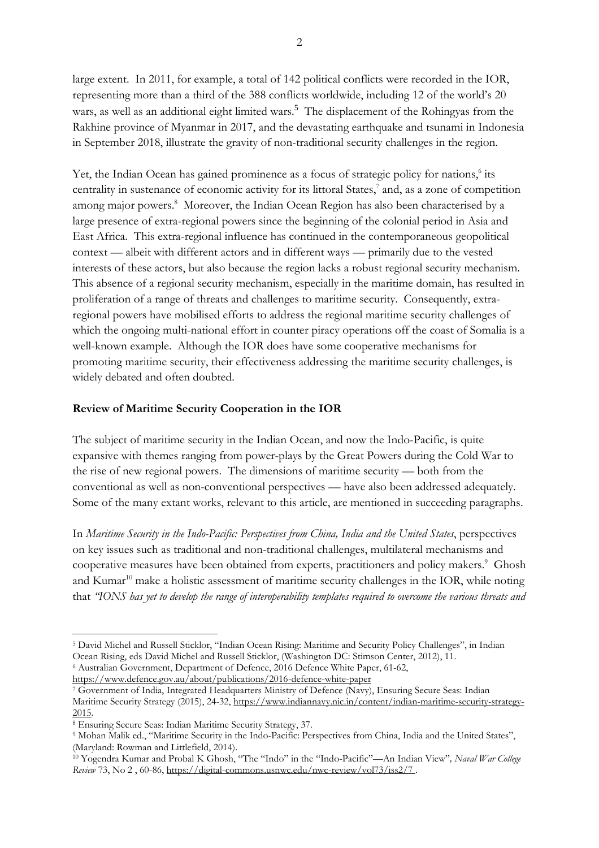large extent. In 2011, for example, a total of 142 political conflicts were recorded in the IOR, representing more than a third of the 388 conflicts worldwide, including 12 of the world's 20 wars, as well as an additional eight limited wars.<sup>5</sup> The displacement of the Rohingyas from the Rakhine province of Myanmar in 2017, and the devastating earthquake and tsunami in Indonesia in September 2018, illustrate the gravity of non-traditional security challenges in the region.

Yet, the Indian Ocean has gained prominence as a focus of strategic policy for nations,<sup>6</sup> its centrality in sustenance of economic activity for its littoral States, 7 and, as a zone of competition among major powers. <sup>8</sup> Moreover, the Indian Ocean Region has also been characterised by a large presence of extra-regional powers since the beginning of the colonial period in Asia and East Africa. This extra-regional influence has continued in the contemporaneous geopolitical context — albeit with different actors and in different ways — primarily due to the vested interests of these actors, but also because the region lacks a robust regional security mechanism. This absence of a regional security mechanism, especially in the maritime domain, has resulted in proliferation of a range of threats and challenges to maritime security. Consequently, extraregional powers have mobilised efforts to address the regional maritime security challenges of which the ongoing multi-national effort in counter piracy operations off the coast of Somalia is a well-known example. Although the IOR does have some cooperative mechanisms for promoting maritime security, their effectiveness addressing the maritime security challenges, is widely debated and often doubted.

## **Review of Maritime Security Cooperation in the IOR**

The subject of maritime security in the Indian Ocean, and now the Indo-Pacific, is quite expansive with themes ranging from power-plays by the Great Powers during the Cold War to the rise of new regional powers. The dimensions of maritime security — both from the conventional as well as non-conventional perspectives — have also been addressed adequately. Some of the many extant works, relevant to this article, are mentioned in succeeding paragraphs.

In *Maritime Security in the Indo-Pacific: Perspectives from China, India and the United States*, perspectives on key issues such as traditional and non-traditional challenges, multilateral mechanisms and cooperative measures have been obtained from experts, practitioners and policy makers. <sup>9</sup> Ghosh and Kumar<sup>10</sup> make a holistic assessment of maritime security challenges in the IOR, while noting that "IONS has yet to develop the range of interoperability templates required to overcome the various threats and

<sup>5</sup> David Michel and Russell Sticklor, "Indian Ocean Rising: Maritime and Security Policy Challenges", in Indian Ocean Rising, eds David Michel and Russell Sticklor, (Washington DC: Stimson Center, 2012), 11.

<sup>6</sup> Australian Government, Department of Defence, 2016 Defence White Paper, 61-62, <https://www.defence.gov.au/about/publications/2016-defence-white-paper>

<sup>7</sup> Government of India, Integrated Headquarters Ministry of Defence (Navy), Ensuring Secure Seas: Indian Maritime Security Strategy (2015), 24-32, [https://www.indiannavy.nic.in/content/indian-maritime-security-strategy-](https://www.indiannavy.nic.in/content/indian-maritime-security-strategy-2015)[2015.](https://www.indiannavy.nic.in/content/indian-maritime-security-strategy-2015)

<sup>8</sup> Ensuring Secure Seas: Indian Maritime Security Strategy, 37.

<sup>9</sup> Mohan Malik ed., "Maritime Security in the Indo-Pacific: Perspectives from China, India and the United States", (Maryland: Rowman and Littlefield, 2014).

<sup>10</sup> Yogendra Kumar and Probal K Ghosh, "The "Indo" in the "Indo-Pacific"—An Indian View"*, Naval War College Review* 73, No 2 , 60-86, <https://digital-commons.usnwc.edu/nwc-review/vol73/iss2/7> .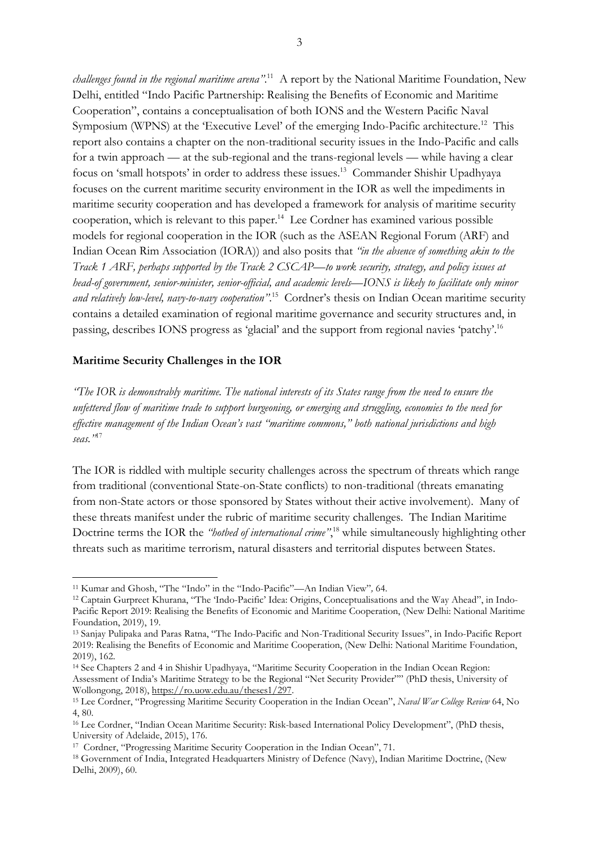*challenges found in the regional maritime arena"*. <sup>11</sup> A report by the National Maritime Foundation, New Delhi, entitled "Indo Pacific Partnership: Realising the Benefits of Economic and Maritime Cooperation", contains a conceptualisation of both IONS and the Western Pacific Naval Symposium (WPNS) at the 'Executive Level' of the emerging Indo-Pacific architecture.<sup>12</sup> This report also contains a chapter on the non-traditional security issues in the Indo-Pacific and calls for a twin approach — at the sub-regional and the trans-regional levels — while having a clear focus on 'small hotspots' in order to address these issues.<sup>13</sup> Commander Shishir Upadhyaya focuses on the current maritime security environment in the IOR as well the impediments in maritime security cooperation and has developed a framework for analysis of maritime security cooperation, which is relevant to this paper. <sup>14</sup> Lee Cordner has examined various possible models for regional cooperation in the IOR (such as the ASEAN Regional Forum (ARF) and Indian Ocean Rim Association (IORA)) and also posits that *"in the absence of something akin to the* Track 1 ARF, perhaps supported by the Track 2 CSCAP—to work security, strategy, and policy issues at *head-of government, senior-minister, senior-official, and academic levels—IONS is likely to facilitate only minor and relatively low-level, navy-to-navy cooperation"*. <sup>15</sup> Cordner's thesis on Indian Ocean maritime security contains a detailed examination of regional maritime governance and security structures and, in passing, describes IONS progress as 'glacial' and the support from regional navies 'patchy'.<sup>16</sup>

#### **Maritime Security Challenges in the IOR**

"The IOR is demonstrably maritime. The national interests of its States range from the need to ensure the unfettered flow of maritime trade to support burgeoning, or emerging and struggling, economies to the need for *effective management of the Indian Ocean's vast "maritime commons," both national jurisdictions and high seas."* 17

The IOR is riddled with multiple security challenges across the spectrum of threats which range from traditional (conventional State-on-State conflicts) to non-traditional (threats emanating from non-State actors or those sponsored by States without their active involvement). Many of these threats manifest under the rubric of maritime security challenges. The Indian Maritime Doctrine terms the IOR the *"hotbed of international crime"*, <sup>18</sup> while simultaneously highlighting other threats such as maritime terrorism, natural disasters and territorial disputes between States.

<sup>11</sup> Kumar and Ghosh, "The "Indo" in the "Indo-Pacific"—An Indian View"*,* 64.

<sup>12</sup> Captain Gurpreet Khurana, "The 'Indo-Pacific' Idea: Origins, Conceptualisations and the Way Ahead", in Indo-Pacific Report 2019: Realising the Benefits of Economic and Maritime Cooperation, (New Delhi: National Maritime Foundation, 2019), 19.

<sup>13</sup> Sanjay Pulipaka and Paras Ratna, "The Indo-Pacific and Non-Traditional Security Issues", in Indo-Pacific Report 2019: Realising the Benefits of Economic and Maritime Cooperation, (New Delhi: National Maritime Foundation, 2019), 162.

<sup>14</sup> See Chapters 2 and 4 in Shishir Upadhyaya, "Maritime Security Cooperation in the Indian Ocean Region: Assessment of India's Maritime Strategy to be the Regional "Net Security Provider"" (PhD thesis, University of Wollongong, 2018), [https://ro.uow.edu.au/theses1/297.](https://ro.uow.edu.au/theses1/297)

<sup>15</sup> Lee Cordner, "Progressing Maritime Security Cooperation in the Indian Ocean", *Naval War College Review* 64, No 4, 80.

<sup>16</sup> Lee Cordner, "Indian Ocean Maritime Security: Risk-based International Policy Development", (PhD thesis, University of Adelaide, 2015), 176.

<sup>&</sup>lt;sup>17</sup> Cordner, "Progressing Maritime Security Cooperation in the Indian Ocean", 71.

<sup>18</sup> Government of India, Integrated Headquarters Ministry of Defence (Navy), Indian Maritime Doctrine, (New Delhi, 2009), 60.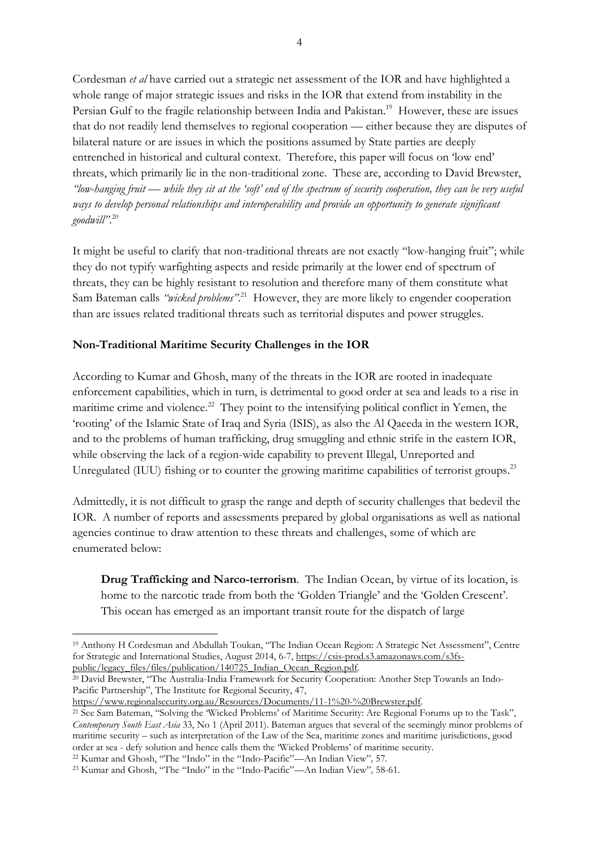Cordesman *et al* have carried out a strategic net assessment of the IOR and have highlighted a whole range of major strategic issues and risks in the IOR that extend from instability in the Persian Gulf to the fragile relationship between India and Pakistan.<sup>19</sup> However, these are issues that do not readily lend themselves to regional cooperation — either because they are disputes of bilateral nature or are issues in which the positions assumed by State parties are deeply entrenched in historical and cultural context. Therefore, this paper will focus on 'low end' threats, which primarily lie in the non-traditional zone. These are, according to David Brewster, "low-hanging fruit — while they sit at the 'soft' end of the spectrum of security cooperation, they can be very useful *ways to develop personal relationships and interoperability and provide an opportunity to generate significant goodwill"*. 20

It might be useful to clarify that non-traditional threats are not exactly "low-hanging fruit"; while they do not typify warfighting aspects and reside primarily at the lower end of spectrum of threats, they can be highly resistant to resolution and therefore many of them constitute what Sam Bateman calls *"wicked problems"*. <sup>21</sup> However, they are more likely to engender cooperation than are issues related traditional threats such as territorial disputes and power struggles.

### **Non-Traditional Maritime Security Challenges in the IOR**

According to Kumar and Ghosh, many of the threats in the IOR are rooted in inadequate enforcement capabilities, which in turn, is detrimental to good order at sea and leads to a rise in maritime crime and violence.<sup>22</sup> They point to the intensifying political conflict in Yemen, the 'rooting' of the Islamic State of Iraq and Syria (ISIS), as also the Al Qaeeda in the western IOR, and to the problems of human trafficking, drug smuggling and ethnic strife in the eastern IOR, while observing the lack of a region-wide capability to prevent Illegal, Unreported and Unregulated (IUU) fishing or to counter the growing maritime capabilities of terrorist groups.<sup>23</sup>

Admittedly, it is not difficult to grasp the range and depth of security challenges that bedevil the IOR. A number of reports and assessments prepared by global organisations as well as national agencies continue to draw attention to these threats and challenges, some of which are enumerated below:

**Drug Trafficking and Narco-terrorism**. The Indian Ocean, by virtue of its location, is home to the narcotic trade from both the 'Golden Triangle' and the 'Golden Crescent'. This ocean has emerged as an important transit route for the dispatch of large

<sup>20</sup> David Brewster, "The Australia-India Framework for Security Cooperation: Another Step Towards an Indo-Pacific Partnership", The Institute for Regional Security, 47,

[https://www.regionalsecurity.org.au/Resources/Documents/11-1%20-%20Brewster.pdf.](https://www.regionalsecurity.org.au/Resources/Documents/11-1%20-%20Brewster.pdf)

<sup>19</sup> Anthony H Cordesman and Abdullah Toukan, "The Indian Ocean Region: A Strategic Net Assessment", Centre for Strategic and International Studies, August 2014, 6-7, [https://csis-prod.s3.amazonaws.com/s3fs](https://csis-prod.s3.amazonaws.com/s3fs-public/legacy_files/files/publication/140725_Indian_Ocean_Region.pdf)[public/legacy\\_files/files/publication/140725\\_Indian\\_Ocean\\_Region.pdf.](https://csis-prod.s3.amazonaws.com/s3fs-public/legacy_files/files/publication/140725_Indian_Ocean_Region.pdf)

<sup>&</sup>lt;sup>21</sup> See Sam Bateman, "Solving the 'Wicked Problems' of Maritime Security: Are Regional Forums up to the Task", *Contemporary South East Asia* 33, No 1 (April 2011). Bateman argues that several of the seemingly minor problems of maritime security – such as interpretation of the Law of the Sea, maritime zones and maritime jurisdictions, good order at sea - defy solution and hence calls them the 'Wicked Problems' of maritime security.

<sup>22</sup> Kumar and Ghosh, "The "Indo" in the "Indo-Pacific"—An Indian View"*,* 57.

<sup>23</sup> Kumar and Ghosh, "The "Indo" in the "Indo-Pacific"—An Indian View"*,* 58-61.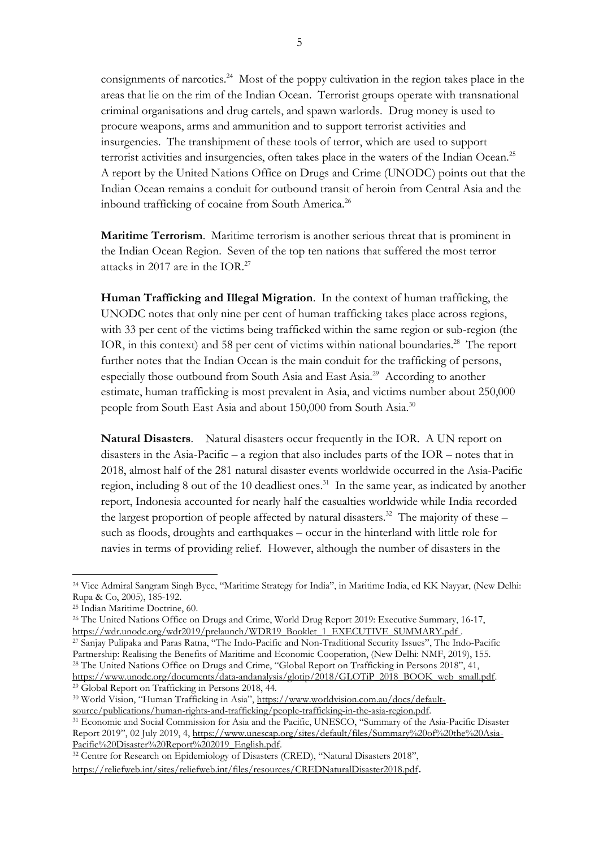consignments of narcotics.<sup>24</sup> Most of the poppy cultivation in the region takes place in the areas that lie on the rim of the Indian Ocean. Terrorist groups operate with transnational criminal organisations and drug cartels, and spawn warlords. Drug money is used to procure weapons, arms and ammunition and to support terrorist activities and insurgencies. The transhipment of these tools of terror, which are used to support terrorist activities and insurgencies, often takes place in the waters of the Indian Ocean.<sup>25</sup> A report by the United Nations Office on Drugs and Crime (UNODC) points out that the Indian Ocean remains a conduit for outbound transit of heroin from Central Asia and the inbound trafficking of cocaine from South America.<sup>26</sup>

**Maritime Terrorism**. Maritime terrorism is another serious threat that is prominent in the Indian Ocean Region. Seven of the top ten nations that suffered the most terror attacks in 2017 are in the IOR. $27$ 

**Human Trafficking and Illegal Migration**. In the context of human trafficking, the UNODC notes that only nine per cent of human trafficking takes place across regions, with 33 per cent of the victims being trafficked within the same region or sub-region (the IOR, in this context) and 58 per cent of victims within national boundaries.<sup>28</sup> The report further notes that the Indian Ocean is the main conduit for the trafficking of persons, especially those outbound from South Asia and East Asia.<sup>29</sup> According to another estimate, human trafficking is most prevalent in Asia, and victims number about 250,000 people from South East Asia and about 150,000 from South Asia.<sup>30</sup>

**Natural Disasters**. Natural disasters occur frequently in the IOR. A UN report on disasters in the Asia-Pacific – a region that also includes parts of the IOR – notes that in 2018, almost half of the 281 natural disaster events worldwide occurred in the Asia-Pacific region, including 8 out of the 10 deadliest ones.<sup>31</sup> In the same year, as indicated by another report, Indonesia accounted for nearly half the casualties worldwide while India recorded the largest proportion of people affected by natural disasters.<sup>32</sup> The majority of these – such as floods, droughts and earthquakes – occur in the hinterland with little role for navies in terms of providing relief. However, although the number of disasters in the

<sup>27</sup> Sanjay Pulipaka and Paras Ratna, "The Indo-Pacific and Non-Traditional Security Issues", The Indo-Pacific Partnership: Realising the Benefits of Maritime and Economic Cooperation, (New Delhi: NMF, 2019), 155. <sup>28</sup> The United Nations Office on Drugs and Crime, "Global Report on Trafficking in Persons 2018", 41, [https://www.unodc.org/documents/data-andanalysis/glotip/2018/GLOTiP\\_2018\\_BOOK\\_web\\_small.pdf.](https://www.unodc.org/documents/data-andanalysis/glotip/2018/GLOTiP_2018_BOOK_web_small.pdf)

<sup>24</sup> Vice Admiral Sangram Singh Byce, "Maritime Strategy for India", in Maritime India, ed KK Nayyar, (New Delhi: Rupa & Co, 2005), 185-192.

<sup>25</sup> Indian Maritime Doctrine, 60.

<sup>26</sup> The United Nations Office on Drugs and Crime, World Drug Report 2019: Executive Summary, 16-17, [https://wdr.unodc.org/wdr2019/prelaunch/WDR19\\_Booklet\\_1\\_EXECUTIVE\\_SUMMARY.pdf](https://wdr.unodc.org/wdr2019/prelaunch/WDR19_Booklet_1_EXECUTIVE_SUMMARY.pdf%20on%20March%2021) .

<sup>29</sup> Global Report on Trafficking in Persons 2018, 44.

<sup>30</sup> World Vision, "Human Trafficking in Asia", [https://www.worldvision.com.au/docs/default](https://www.worldvision.com.au/docs/default-source/publications/human-rights-and-trafficking/people-trafficking-in-the-asia-region.pdf)[source/publications/human-rights-and-trafficking/people-trafficking-in-the-asia-region.pdf.](https://www.worldvision.com.au/docs/default-source/publications/human-rights-and-trafficking/people-trafficking-in-the-asia-region.pdf)

<sup>31</sup> Economic and Social Commission for Asia and the Pacific, UNESCO, "Summary of the Asia-Pacific Disaster Report 2019", 02 July 2019, 4, [https://www.unescap.org/sites/default/files/Summary%20of%20the%20Asia-](https://www.unescap.org/sites/default/files/Summary%20of%20the%20Asia-Pacific%20Disaster%20Report%202019_English.pdf)[Pacific%20Disaster%20Report%202019\\_English.pdf.](https://www.unescap.org/sites/default/files/Summary%20of%20the%20Asia-Pacific%20Disaster%20Report%202019_English.pdf)

<sup>&</sup>lt;sup>32</sup> Centre for Research on Epidemiology of Disasters (CRED), "Natural Disasters 2018", <https://reliefweb.int/sites/reliefweb.int/files/resources/CREDNaturalDisaster2018.pdf>.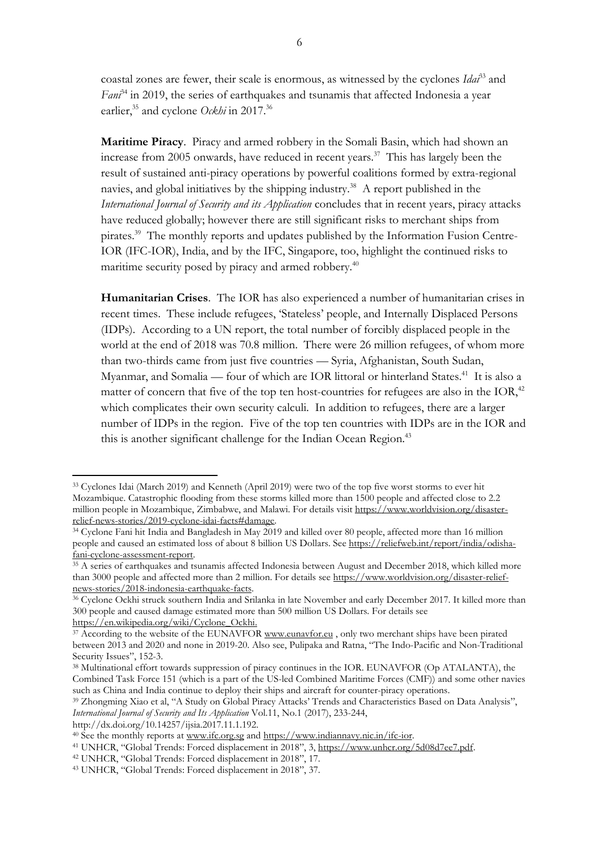coastal zones are fewer, their scale is enormous, as witnessed by the cyclones *Idai*<sup>33</sup> and *Fani*<sup>34</sup> in 2019, the series of earthquakes and tsunamis that affected Indonesia a year earlier,<sup>35</sup> and cyclone *Ockhi* in 2017.<sup>36</sup>

**Maritime Piracy**. Piracy and armed robbery in the Somali Basin, which had shown an increase from 2005 onwards, have reduced in recent years.<sup>37</sup> This has largely been the result of sustained anti-piracy operations by powerful coalitions formed by extra-regional navies, and global initiatives by the shipping industry.<sup>38</sup> A report published in the *International Journal of Security and its Application* concludes that in recent years, piracy attacks have reduced globally; however there are still significant risks to merchant ships from pirates.<sup>39</sup> The monthly reports and updates published by the Information Fusion Centre-IOR (IFC-IOR), India, and by the IFC, Singapore, too, highlight the continued risks to maritime security posed by piracy and armed robbery.<sup>40</sup>

**Humanitarian Crises**. The IOR has also experienced a number of humanitarian crises in recent times. These include refugees, 'Stateless' people, and Internally Displaced Persons (IDPs). According to a UN report, the total number of forcibly displaced people in the world at the end of 2018 was 70.8 million. There were 26 million refugees, of whom more than two-thirds came from just five countries — Syria, Afghanistan, South Sudan, Myanmar, and Somalia — four of which are IOR littoral or hinterland States. <sup>41</sup> It is also a matter of concern that five of the top ten host-countries for refugees are also in the IOR,<sup>42</sup> which complicates their own security calculi. In addition to refugees, there are a larger number of IDPs in the region. Five of the top ten countries with IDPs are in the IOR and this is another significant challenge for the Indian Ocean Region.<sup>43</sup>

http://dx.doi.org/10.14257/ijsia.2017.11.1.192.

<sup>33</sup> Cyclones Idai (March 2019) and Kenneth (April 2019) were two of the top five worst storms to ever hit Mozambique. Catastrophic flooding from these storms killed more than 1500 people and affected close to 2.2 million people in Mozambique, Zimbabwe, and Malawi. For details visit [https://www.worldvision.org/disaster](https://www.worldvision.org/disaster-relief-news-stories/2019-cyclone-idai-facts#damage)[relief-news-stories/2019-cyclone-idai-facts#damage.](https://www.worldvision.org/disaster-relief-news-stories/2019-cyclone-idai-facts#damage)

<sup>34</sup> Cyclone Fani hit India and Bangladesh in May 2019 and killed over 80 people, affected more than 16 million people and caused an estimated loss of about 8 billion US Dollars. See [https://reliefweb.int/report/india/odisha](https://reliefweb.int/report/india/odisha-fani-cyclone-assessment-report)[fani-cyclone-assessment-report.](https://reliefweb.int/report/india/odisha-fani-cyclone-assessment-report)

<sup>&</sup>lt;sup>35</sup> A series of earthquakes and tsunamis affected Indonesia between August and December 2018, which killed more than 3000 people and affected more than 2 million. For details see [https://www.worldvision.org/disaster-relief](https://www.worldvision.org/disaster-relief-news-stories/2018-indonesia-earthquake-facts)[news-stories/2018-indonesia-earthquake-facts.](https://www.worldvision.org/disaster-relief-news-stories/2018-indonesia-earthquake-facts)

<sup>36</sup> Cyclone Ockhi struck southern India and Srilanka in late November and early December 2017. It killed more than 300 people and caused damage estimated more than 500 million US Dollars. For details see [https://en.wikipedia.org/wiki/Cyclone\\_Ockhi.](https://en.wikipedia.org/wiki/Cyclone_Ockhi)

<sup>&</sup>lt;sup>37</sup> According to the website of the EUNAVFOR [www.eunavfor.eu](http://www.eunavfor.eu/), only two merchant ships have been pirated between 2013 and 2020 and none in 2019-20. Also see, Pulipaka and Ratna, "The Indo-Pacific and Non-Traditional Security Issues", 152-3.

<sup>38</sup> Multinational effort towards suppression of piracy continues in the IOR. EUNAVFOR (Op ATALANTA), the Combined Task Force 151 (which is a part of the US-led Combined Maritime Forces (CMF)) and some other navies such as China and India continue to deploy their ships and aircraft for counter-piracy operations.

<sup>39</sup> Zhongming Xiao et al, "A Study on Global Piracy Attacks' Trends and Characteristics Based on Data Analysis", *International Journal of Security and Its Application* Vol.11, No.1 (2017), 233-244,

<sup>40</sup> See the monthly reports at [www.ifc.org.sg](http://www.ifc.org.sg/) and [https://www.indiannavy.nic.in/ifc-ior.](https://www.indiannavy.nic.in/ifc-ior)

<sup>41</sup> UNHCR, "Global Trends: Forced displacement in 2018", 3, [https://www.unhcr.org/5d08d7ee7.pdf.](https://www.unhcr.org/5d08d7ee7.pdf)

<sup>42</sup> UNHCR, "Global Trends: Forced displacement in 2018", 17.

<sup>43</sup> UNHCR, "Global Trends: Forced displacement in 2018", 37.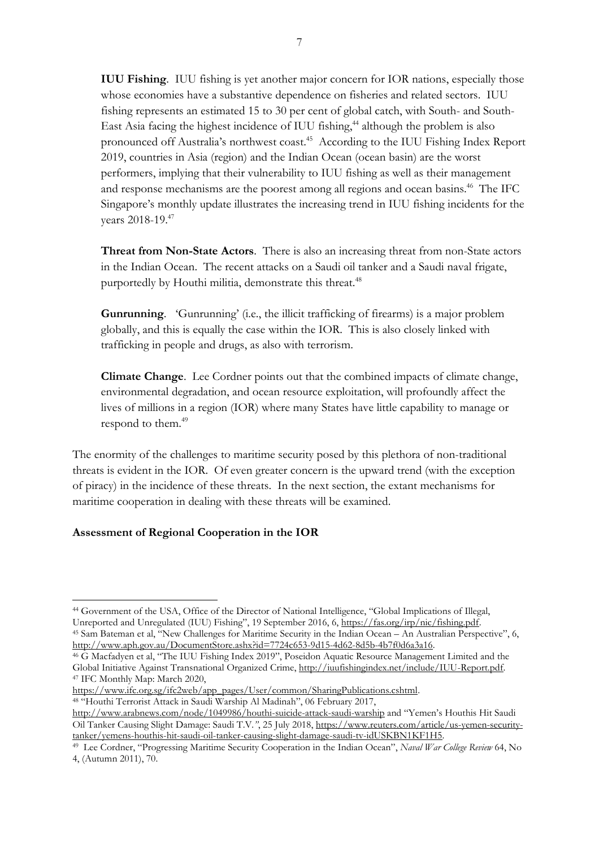**IUU Fishing**. IUU fishing is yet another major concern for IOR nations, especially those whose economies have a substantive dependence on fisheries and related sectors. IUU fishing represents an estimated 15 to 30 per cent of global catch, with South- and South-East Asia facing the highest incidence of IUU fishing, <sup>44</sup> although the problem is also pronounced off Australia's northwest coast.<sup>45</sup> According to the IUU Fishing Index Report 2019, countries in Asia (region) and the Indian Ocean (ocean basin) are the worst performers, implying that their vulnerability to IUU fishing as well as their management and response mechanisms are the poorest among all regions and ocean basins.<sup>46</sup> The IFC Singapore's monthly update illustrates the increasing trend in IUU fishing incidents for the vears 2018-19.47

**Threat from Non-State Actors**. There is also an increasing threat from non-State actors in the Indian Ocean. The recent attacks on a Saudi oil tanker and a Saudi naval frigate, purportedly by Houthi militia, demonstrate this threat.<sup>48</sup>

**Gunrunning**. 'Gunrunning' (i.e., the illicit trafficking of firearms) is a major problem globally, and this is equally the case within the IOR. This is also closely linked with trafficking in people and drugs, as also with terrorism.

**Climate Change**. Lee Cordner points out that the combined impacts of climate change, environmental degradation, and ocean resource exploitation, will profoundly affect the lives of millions in a region (IOR) where many States have little capability to manage or respond to them.<sup>49</sup>

The enormity of the challenges to maritime security posed by this plethora of non-traditional threats is evident in the IOR. Of even greater concern is the upward trend (with the exception of piracy) in the incidence of these threats. In the next section, the extant mechanisms for maritime cooperation in dealing with these threats will be examined.

## **Assessment of Regional Cooperation in the IOR**

<sup>47</sup> IFC Monthly Map: March 2020,

<sup>44</sup> Government of the USA, Office of the Director of National Intelligence, "Global Implications of Illegal, Unreported and Unregulated (IUU) Fishing", 19 September 2016, 6, [https://fas.org/irp/nic/fishing.pdf.](https://fas.org/irp/nic/fishing.pdf) <sup>45</sup> Sam Bateman et al, "New Challenges for Maritime Security in the Indian Ocean – An Australian Perspective", 6,

[http://www.aph.gov.au/DocumentStore.ashx?id=7724c653-9d15-4d62-8d5b-4b7f0d6a3a16.](http://www.aph.gov.au/DocumentStore.ashx?id=7724c653-9d15-4d62-8d5b-4b7f0d6a3a16) <sup>46</sup> G Macfadyen et al, "The IUU Fishing Index 2019", Poseidon Aquatic Resource Management Limited and the Global Initiative Against Transnational Organized Crime, [http://iuufishingindex.net/include/IUU-Report.pdf.](http://iuufishingindex.net/include/IUU-Report.pdf)

[https://www.ifc.org.sg/ifc2web/app\\_pages/User/common/SharingPublications.cshtml.](https://www.ifc.org.sg/ifc2web/app_pages/User/common/SharingPublications.cshtml) <sup>48</sup> "Houthi Terrorist Attack in Saudi Warship Al Madinah", 06 February 2017,

<http://www.arabnews.com/node/1049986/houthi-suicide-attack-saudi-warship> and "Yemen's Houthis Hit Saudi Oil Tanker Causing Slight Damage: Saudi T.V*."*, 25 July 2018, [https://www.reuters.com/article/us-yemen-security](https://www.reuters.com/article/us-yemen-security-tanker/yemens-houthis-hit-saudi-oil-tanker-causing-slight-damage-saudi-tv-idUSKBN1KF1H5)[tanker/yemens-houthis-hit-saudi-oil-tanker-causing-slight-damage-saudi-tv-idUSKBN1KF1H5.](https://www.reuters.com/article/us-yemen-security-tanker/yemens-houthis-hit-saudi-oil-tanker-causing-slight-damage-saudi-tv-idUSKBN1KF1H5)

<sup>49</sup> Lee Cordner, "Progressing Maritime Security Cooperation in the Indian Ocean", *Naval War College Review* 64, No 4, (Autumn 2011), 70.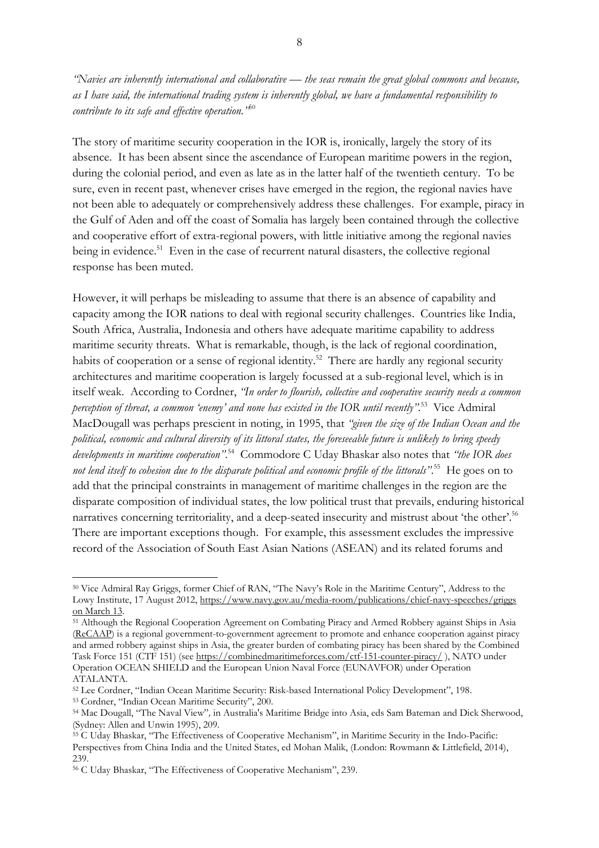"Navies are inherently international and collaborative — the seas remain the great global commons and because, as I have said, the international trading system is inherently global, we have a fundamental responsibility to *contribute to its safe and effective operation."* 50

The story of maritime security cooperation in the IOR is, ironically, largely the story of its absence. It has been absent since the ascendance of European maritime powers in the region, during the colonial period, and even as late as in the latter half of the twentieth century. To be sure, even in recent past, whenever crises have emerged in the region, the regional navies have not been able to adequately or comprehensively address these challenges. For example, piracy in the Gulf of Aden and off the coast of Somalia has largely been contained through the collective and cooperative effort of extra-regional powers, with little initiative among the regional navies being in evidence. <sup>51</sup> Even in the case of recurrent natural disasters, the collective regional response has been muted.

However, it will perhaps be misleading to assume that there is an absence of capability and capacity among the IOR nations to deal with regional security challenges. Countries like India, South Africa, Australia, Indonesia and others have adequate maritime capability to address maritime security threats. What is remarkable, though, is the lack of regional coordination, habits of cooperation or a sense of regional identity.<sup>52</sup> There are hardly any regional security architectures and maritime cooperation is largely focussed at a sub-regional level, which is in itself weak. According to Cordner, *"In order to flourish, collective and cooperative security needs a common perception of threat, a common 'enemy' and none has existed in the IOR until recently".*<sup>53</sup> Vice Admiral MacDougall was perhaps prescient in noting, in 1995, that *"given the size of the Indian Ocean and the* political, economic and cultural diversity of its littoral states, the foreseeable future is unlikely to bring speedy *developments in maritime cooperation"*. <sup>54</sup> Commodore C Uday Bhaskar also notes that *"the IOR does* not lend itself to cohesion due to the disparate political and economic profile of the littorals".<sup>55</sup> He goes on to add that the principal constraints in management of maritime challenges in the region are the disparate composition of individual states, the low political trust that prevails, enduring historical narratives concerning territoriality, and a deep-seated insecurity and mistrust about 'the other'.<sup>56</sup> There are important exceptions though. For example, this assessment excludes the impressive record of the Association of South East Asian Nations (ASEAN) and its related forums and

<sup>53</sup> Cordner, "Indian Ocean Maritime Security", 200.

<sup>50</sup> Vice Admiral Ray Griggs, former Chief of RAN, "The Navy's Role in the Maritime Century", Address to the Lowy Institute, 17 August 2012, [https://www.navy.gov.au/media-room/publications/chief-navy-speeches/griggs](https://www.navy.gov.au/media-room/publications/chief-navy-speeches/griggs%20on%20March%2013) on [March](https://www.navy.gov.au/media-room/publications/chief-navy-speeches/griggs%20on%20March%2013) 13.

<sup>&</sup>lt;sup>51</sup> Although the Regional Cooperation Agreement on Combating Piracy and Armed Robbery against Ships in Asia [\(ReCAAP\)](https://www.recaap.org/resources/ck/files/ReCAAP%20Agreement/ReCAAP%20Agreement.pdf) is a regional government-to-government agreement to promote and enhance cooperation against piracy and armed robbery against ships in Asia, the greater burden of combating piracy has been shared by the Combined Task Force 151 (CTF 151) (see <https://combinedmaritimeforces.com/ctf-151-counter-piracy/> ), NATO under Operation OCEAN SHIELD and the European Union Naval Force (EUNAVFOR) under Operation ATALANTA.

<sup>52</sup> Lee Cordner, "Indian Ocean Maritime Security: Risk-based International Policy Development", 198.

<sup>54</sup> Mac Dougall, "The Naval View"*,* in Australia's Maritime Bridge into Asia, eds Sam Bateman and Dick Sherwood, (Sydney: Allen and Unwin 1995), 209.

<sup>55</sup> C Uday Bhaskar, "The Effectiveness of Cooperative Mechanism", in Maritime Security in the Indo-Pacific: Perspectives from China India and the United States, ed Mohan Malik, (London: Rowmann & Littlefield, 2014), 239.

<sup>56</sup> C Uday Bhaskar, "The Effectiveness of Cooperative Mechanism", 239.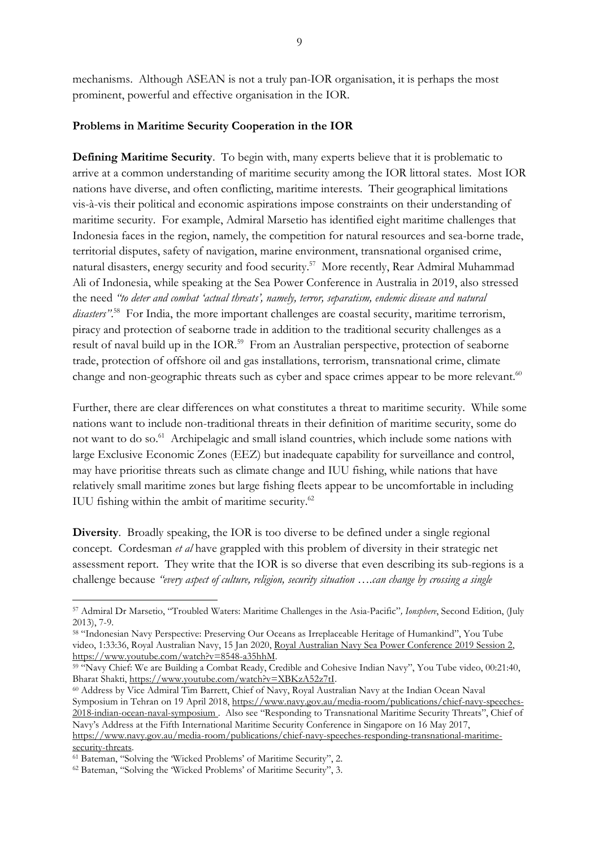## **Problems in Maritime Security Cooperation in the IOR**

**Defining Maritime Security**. To begin with, many experts believe that it is problematic to arrive at a common understanding of maritime security among the IOR littoral states. Most IOR nations have diverse, and often conflicting, maritime interests. Their geographical limitations vis-à-vis their political and economic aspirations impose constraints on their understanding of maritime security. For example, Admiral Marsetio has identified eight maritime challenges that Indonesia faces in the region, namely, the competition for natural resources and sea-borne trade, territorial disputes, safety of navigation, marine environment, transnational organised crime, natural disasters, energy security and food security.<sup>57</sup> More recently, Rear Admiral Muhammad Ali of Indonesia, while speaking at the Sea Power Conference in Australia in 2019, also stressed the need *"to deter and combat 'actual threats', namely, terror, separatism, endemic disease and natural disasters"*. <sup>58</sup> For India, the more important challenges are coastal security, maritime terrorism, piracy and protection of seaborne trade in addition to the traditional security challenges as a result of naval build up in the IOR.<sup>59</sup> From an Australian perspective, protection of seaborne trade, protection of offshore oil and gas installations, terrorism, transnational crime, climate change and non-geographic threats such as cyber and space crimes appear to be more relevant.<sup>60</sup>

Further, there are clear differences on what constitutes a threat to maritime security. While some nations want to include non-traditional threats in their definition of maritime security, some do not want to do so.<sup>61</sup> Archipelagic and small island countries, which include some nations with large Exclusive Economic Zones (EEZ) but inadequate capability for surveillance and control, may have prioritise threats such as climate change and IUU fishing, while nations that have relatively small maritime zones but large fishing fleets appear to be uncomfortable in including IUU fishing within the ambit of maritime security.<sup>62</sup>

**Diversity**. Broadly speaking, the IOR is too diverse to be defined under a single regional concept. Cordesman *et al* have grappled with this problem of diversity in their strategic net assessment report. They write that the IOR is so diverse that even describing its sub-regions is a challenge because *"every aspect of culture, religion, security situation ….can change by crossing a single*

<sup>57</sup> Admiral Dr Marsetio, "Troubled Waters: Maritime Challenges in the Asia-Pacific"*, Ionsphere*, Second Edition, (July 2013), 7-9.

<sup>58</sup> "Indonesian Navy Perspective: Preserving Our Oceans as Irreplaceable Heritage of Humankind", You Tube video, 1:33:36, Royal Australian Navy, 15 Jan 2020, Royal Australian Navy Sea Power [Conference](https://www.youtube.com/watch?v=8548-a35hhM) 2019 Session 2, [https://www.youtube.com/watch?v=8548-a35hhM.](https://www.youtube.com/watch?v=8548-a35hhM)

<sup>&</sup>lt;sup>59 "</sup>Navy Chief: We are Building a Combat Ready, Credible and Cohesive Indian Navy", You Tube video, 00:21:40, Bharat Shakti, [https://www.youtube.com/watch?v=XBKzA52z7tI.](https://www.youtube.com/watch?v=XBKzA52z7tI)

<sup>60</sup> Address by Vice Admiral Tim Barrett, Chief of Navy, Royal Australian Navy at the Indian Ocean Naval Symposium in Tehran on 19 April 2018, [https://www.navy.gov.au/media-room/publications/chief-navy-speeches-](https://www.navy.gov.au/media-room/publications/chief-navy-speeches-2018-indian-ocean-naval-symposium)[2018-indian-ocean-naval-symposium](https://www.navy.gov.au/media-room/publications/chief-navy-speeches-2018-indian-ocean-naval-symposium) . Also see "Responding to Transnational Maritime Security Threats", Chief of Navy's Address at the Fifth International Maritime Security Conference in Singapore on 16 May 2017, [https://www.navy.gov.au/media-room/publications/chief-navy-speeches-responding-transnational-maritime](https://www.navy.gov.au/media-room/publications/chief-navy-speeches-responding-transnational-maritime-security-threats)security-threats.

<sup>61</sup> Bateman, "Solving the 'Wicked Problems' of Maritime Security", 2.

<sup>62</sup> Bateman, "Solving the 'Wicked Problems' of Maritime Security", 3.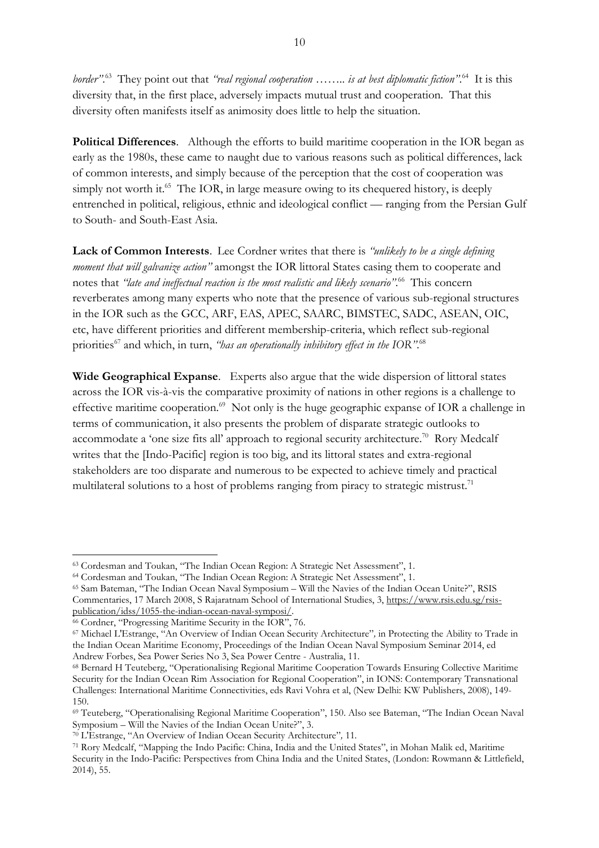*border"*. <sup>63</sup> They point out that *"real regional cooperation …….. is at best diplomatic fiction"*. <sup>64</sup> It is this diversity that, in the first place, adversely impacts mutual trust and cooperation. That this diversity often manifests itself as animosity does little to help the situation.

**Political Differences**. Although the efforts to build maritime cooperation in the IOR began as early as the 1980s, these came to naught due to various reasons such as political differences, lack of common interests, and simply because of the perception that the cost of cooperation was simply not worth it. $65$  The IOR, in large measure owing to its chequered history, is deeply entrenched in political, religious, ethnic and ideological conflict — ranging from the Persian Gulf to South- and South-East Asia.

**Lack of Common Interests**. Lee Cordner writes that there is *"unlikely to be a single defining moment that will galvanize action"* amongst the IOR littoral States casing them to cooperate and notes that *"late and ineffectual reaction is the most realistic and likely scenario"*. <sup>66</sup> This concern reverberates among many experts who note that the presence of various sub-regional structures in the IOR such as the GCC, ARF, EAS, APEC, SAARC, BIMSTEC, SADC, ASEAN, OIC, etc, have different priorities and different membership-criteria, which reflect sub-regional priorities<sup>67</sup> and which, in turn, *"has an operationally inhibitory effect in the IOR"*. 68

**Wide Geographical Expanse**. Experts also argue that the wide dispersion of littoral states across the IOR vis-à-vis the comparative proximity of nations in other regions is a challenge to effective maritime cooperation.<sup>69</sup> Not only is the huge geographic expanse of IOR a challenge in terms of communication, it also presents the problem of disparate strategic outlooks to accommodate a 'one size fits all' approach to regional security architecture.<sup>70</sup> Rory Medcalf writes that the [Indo-Pacific] region is too big, and its littoral states and extra-regional stakeholders are too disparate and numerous to be expected to achieve timely and practical multilateral solutions to a host of problems ranging from piracy to strategic mistrust.<sup>71</sup>

<sup>63</sup> Cordesman and Toukan, "The Indian Ocean Region: A Strategic Net Assessment", 1.

<sup>64</sup> Cordesman and Toukan, "The Indian Ocean Region: A Strategic Net Assessment", 1.

<sup>65</sup> Sam Bateman, "The Indian Ocean Naval Symposium – Will the Navies of the Indian Ocean Unite?", RSIS Commentaries, 17 March 2008, S Rajaratnam School of International Studies, 3, [https://www.rsis.edu.sg/rsis](https://www.rsis.edu.sg/rsis-publication/idss/1055-the-indian-ocean-naval-symposi/)[publication/idss/1055-the-indian-ocean-naval-symposi/.](https://www.rsis.edu.sg/rsis-publication/idss/1055-the-indian-ocean-naval-symposi/)

<sup>66</sup> Cordner, "Progressing Maritime Security in the IOR", 76.

<sup>67</sup> Michael L'Estrange, "An Overview of Indian Ocean Security Architecture"*,* in Protecting the Ability to Trade in the Indian Ocean Maritime Economy, Proceedings of the Indian Ocean Naval Symposium Seminar 2014, ed Andrew Forbes, Sea Power Series No 3, Sea Power Centre - Australia, 11.

<sup>68</sup> Bernard H Teuteberg, "Operationalising Regional Maritime Cooperation Towards Ensuring Collective Maritime Security for the Indian Ocean Rim Association for Regional Cooperation", in IONS: Contemporary Transnational Challenges: International Maritime Connectivities, eds Ravi Vohra et al, (New Delhi: KW Publishers, 2008), 149- 150.

<sup>69</sup> Teuteberg, "Operationalising Regional Maritime Cooperation", 150. Also see Bateman, "The Indian Ocean Naval Symposium – Will the Navies of the Indian Ocean Unite?", 3.

<sup>70</sup> L'Estrange, "An Overview of Indian Ocean Security Architecture"*,* 11*.*

<sup>71</sup> Rory Medcalf, "Mapping the Indo Pacific: China, India and the United States", in Mohan Malik ed, Maritime Security in the Indo-Pacific: Perspectives from China India and the United States, (London: Rowmann & Littlefield, 2014), 55.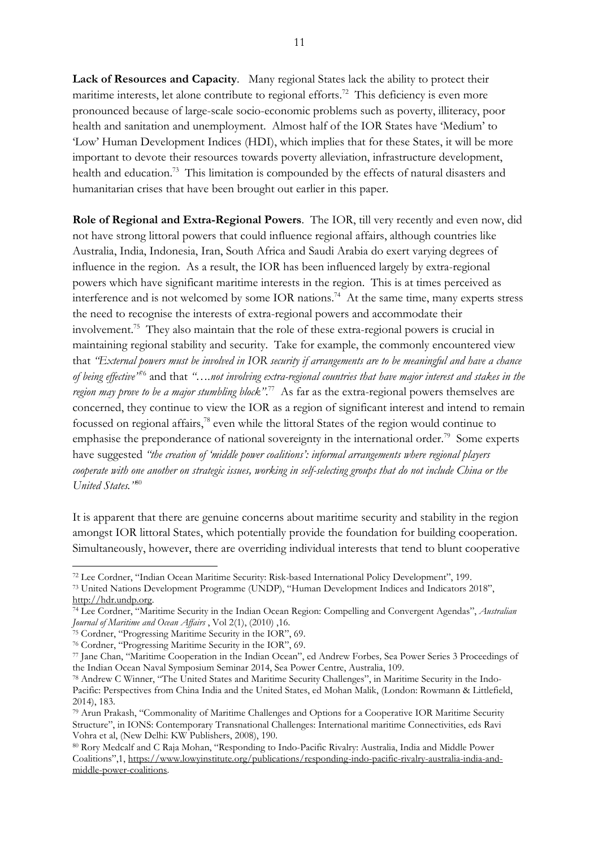**Lack of Resources and Capacity**. Many regional States lack the ability to protect their maritime interests, let alone contribute to regional efforts.<sup>72</sup> This deficiency is even more pronounced because of large-scale socio-economic problems such as poverty, illiteracy, poor health and sanitation and unemployment. Almost half of the IOR States have 'Medium' to 'Low' Human Development Indices (HDI), which implies that for these States, it will be more important to devote their resources towards poverty alleviation, infrastructure development, health and education.<sup>73</sup> This limitation is compounded by the effects of natural disasters and humanitarian crises that have been brought out earlier in this paper.

**Role of Regional and Extra-Regional Powers**. The IOR, till very recently and even now, did not have strong littoral powers that could influence regional affairs, although countries like Australia, India, Indonesia, Iran, South Africa and Saudi Arabia do exert varying degrees of influence in the region. As a result, the IOR has been influenced largely by extra-regional powers which have significant maritime interests in the region. This is at times perceived as interference and is not welcomed by some IOR nations.<sup>74</sup> At the same time, many experts stress the need to recognise the interests of extra-regional powers and accommodate their involvement. <sup>75</sup> They also maintain that the role of these extra-regional powers is crucial in maintaining regional stability and security. Take for example, the commonly encountered view that 'External powers must be involved in IOR security if arrangements are to be meaningful and have a chance *of being effective"*<sup>76</sup> and that *"….not involving extra-regional countries that have major interest and stakes in the region may prove to be a major stumbling block"*. 77 As far as the extra-regional powers themselves are concerned, they continue to view the IOR as a region of significant interest and intend to remain focussed on regional affairs, <sup>78</sup> even while the littoral States of the region would continue to emphasise the preponderance of national sovereignty in the international order.<sup>79</sup> Some experts have suggested *"the creation of 'middle power coalitions': informal arrangements where regional players* cooperate with one another on strategic issues, working in self-selecting groups that do not include China or the *United States."*<sup>80</sup>

It is apparent that there are genuine concerns about maritime security and stability in the region amongst IOR littoral States, which potentially provide the foundation for building cooperation. Simultaneously, however, there are overriding individual interests that tend to blunt cooperative

<sup>72</sup> Lee Cordner, "Indian Ocean Maritime Security: Risk-based International Policy Development", 199.

<sup>73</sup> United Nations Development Programme (UNDP), "Human Development Indices and Indicators 2018", [http://hdr.undp.org.](http://hdr.undp.org/)

<sup>74</sup> Lee Cordner, "Maritime Security in the Indian Ocean Region: Compelling and Convergent Agendas", *Australian Journal of Maritime and Ocean Affairs* , Vol 2(1), (2010) ,16.

<sup>75</sup> Cordner, "Progressing Maritime Security in the IOR", 69.

<sup>76</sup> Cordner, "Progressing Maritime Security in the IOR", 69.

<sup>77</sup> Jane Chan, "Maritime Cooperation in the Indian Ocean", ed Andrew Forbes*,* Sea Power Series 3 Proceedings of the Indian Ocean Naval Symposium Seminar 2014, Sea Power Centre, Australia, 109.

<sup>78</sup> Andrew C Winner, "The United States and Maritime Security Challenges", in Maritime Security in the Indo-Pacific: Perspectives from China India and the United States, ed Mohan Malik, (London: Rowmann & Littlefield, 2014), 183.

<sup>79</sup> Arun Prakash, "Commonality of Maritime Challenges and Options for a Cooperative IOR Maritime Security Structure", in IONS: Contemporary Transnational Challenges: International maritime Connectivities, eds Ravi Vohra et al, (New Delhi: KW Publishers, 2008), 190.

<sup>80</sup> Rory Medcalf and C Raja Mohan, "Responding to Indo-Pacific Rivalry: Australia, India and Middle Power Coalitions",1, [https://www.lowyinstitute.org/publications/responding-indo-pacific-rivalry-australia-india-and](https://www.lowyinstitute.org/publications/responding-indo-pacific-rivalry-australia-india-and-middle-power-coalitions)[middle-power-coalitions.](https://www.lowyinstitute.org/publications/responding-indo-pacific-rivalry-australia-india-and-middle-power-coalitions)